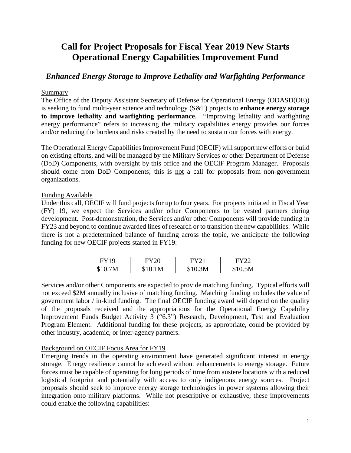# **Call for Project Proposals for Fiscal Year 2019 New Starts Operational Energy Capabilities Improvement Fund**

# *Enhanced Energy Storage to Improve Lethality and Warfighting Performance*

#### Summary

The Office of the Deputy Assistant Secretary of Defense for Operational Energy (ODASD(OE)) is seeking to fund multi-year science and technology (S&T) projects to **enhance energy storage to improve lethality and warfighting performance**. "Improving lethality and warfighting energy performance" refers to increasing the military capabilities energy provides our forces and/or reducing the burdens and risks created by the need to sustain our forces with energy.

The Operational Energy Capabilities Improvement Fund (OECIF) will support new efforts or build on existing efforts, and will be managed by the Military Services or other Department of Defense (DoD) Components, with oversight by this office and the OECIF Program Manager. Proposals should come from DoD Components; this is not a call for proposals from non-government organizations.

#### Funding Available

Under this call, OECIF will fund projects for up to four years. For projects initiated in Fiscal Year (FY) 19, we expect the Services and/or other Components to be vested partners during development. Post-demonstration, the Services and/or other Components will provide funding in FY23 and beyond to continue awarded lines of research or to transition the new capabilities. While there is not a predetermined balance of funding across the topic, we anticipate the following funding for new OECIF projects started in FY19:

| FY 19      |     |       | EY22           |
|------------|-----|-------|----------------|
| 7M<br>\$10 | 1 M | 10.3M | 0.5M<br>\$10 * |

Services and/or other Components are expected to provide matching funding. Typical efforts will not exceed \$2M annually inclusive of matching funding. Matching funding includes the value of government labor / in-kind funding. The final OECIF funding award will depend on the quality of the proposals received and the appropriations for the Operational Energy Capability Improvement Funds Budget Activity 3 ("6.3") Research, Development, Test and Evaluation Program Element. Additional funding for these projects, as appropriate, could be provided by other industry, academic, or inter-agency partners.

# Background on OECIF Focus Area for FY19

Emerging trends in the operating environment have generated significant interest in energy storage. Energy resilience cannot be achieved without enhancements to energy storage. Future forces must be capable of operating for long periods of time from austere locations with a reduced logistical footprint and potentially with access to only indigenous energy sources. Project proposals should seek to improve energy storage technologies in power systems allowing their integration onto military platforms. While not prescriptive or exhaustive, these improvements could enable the following capabilities: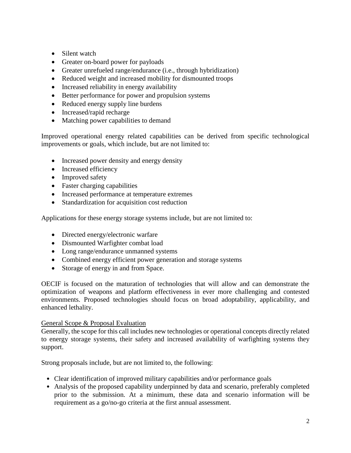- Silent watch
- Greater on-board power for payloads
- Greater unrefueled range/endurance (i.e., through hybridization)
- Reduced weight and increased mobility for dismounted troops
- Increased reliability in energy availability
- Better performance for power and propulsion systems
- Reduced energy supply line burdens
- Increased/rapid recharge
- Matching power capabilities to demand

Improved operational energy related capabilities can be derived from specific technological improvements or goals, which include, but are not limited to:

- Increased power density and energy density
- Increased efficiency
- Improved safety
- Faster charging capabilities
- Increased performance at temperature extremes
- Standardization for acquisition cost reduction

Applications for these energy storage systems include, but are not limited to:

- Directed energy/electronic warfare
- Dismounted Warfighter combat load
- Long range/endurance unmanned systems
- Combined energy efficient power generation and storage systems
- Storage of energy in and from Space.

OECIF is focused on the maturation of technologies that will allow and can demonstrate the optimization of weapons and platform effectiveness in ever more challenging and contested environments. Proposed technologies should focus on broad adoptability, applicability, and enhanced lethality.

# General Scope & Proposal Evaluation

Generally, the scope for this call includes new technologies or operational concepts directly related to energy storage systems, their safety and increased availability of warfighting systems they support.

Strong proposals include, but are not limited to, the following:

- Clear identification of improved military capabilities and/or performance goals
- Analysis of the proposed capability underpinned by data and scenario, preferably completed prior to the submission. At a minimum, these data and scenario information will be requirement as a go/no-go criteria at the first annual assessment.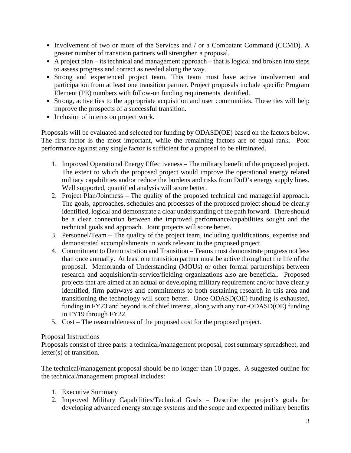- Involvement of two or more of the Services and / or a Combatant Command (CCMD). A greater number of transition partners will strengthen a proposal.
- A project plan its technical and management approach that is logical and broken into steps to assess progress and correct as needed along the way.
- Strong and experienced project team. This team must have active involvement and participation from at least one transition partner. Project proposals include specific Program Element (PE) numbers with follow-on funding requirements identified.
- Strong, active ties to the appropriate acquisition and user communities. These ties will help improve the prospects of a successful transition.
- Inclusion of interns on project work.

Proposals will be evaluated and selected for funding by ODASD(OE) based on the factors below. The first factor is the most important, while the remaining factors are of equal rank. Poor performance against any single factor is sufficient for a proposal to be eliminated.

- 1. Improved Operational Energy Effectiveness The military benefit of the proposed project. The extent to which the proposed project would improve the operational energy related military capabilities and/or reduce the burdens and risks from DoD's energy supply lines. Well supported, quantified analysis will score better.
- 2. Project Plan/Jointness The quality of the proposed technical and managerial approach. The goals, approaches, schedules and processes of the proposed project should be clearly identified, logical and demonstrate a clear understanding of the path forward. There should be a clear connection between the improved performance/capabilities sought and the technical goals and approach. Joint projects will score better.
- 3. Personnel/Team The quality of the project team, including qualifications, expertise and demonstrated accomplishments in work relevant to the proposed project.
- 4. Commitment to Demonstration and Transition Teams must demonstrate progress not less than once annually. At least one transition partner must be active throughout the life of the proposal. Memoranda of Understanding (MOUs) or other formal partnerships between research and acquisition/in-service/fielding organizations also are beneficial. Proposed projects that are aimed at an actual or developing military requirement and/or have clearly identified, firm pathways and commitments to both sustaining research in this area and transitioning the technology will score better. Once ODASD(OE) funding is exhausted, funding in FY23 and beyond is of chief interest, along with any non-ODASD(OE) funding in FY19 through FY22.
- 5. Cost The reasonableness of the proposed cost for the proposed project.

# Proposal Instructions

Proposals consist of three parts: a technical/management proposal, cost summary spreadsheet, and letter(s) of transition.

The technical/management proposal should be no longer than 10 pages. A suggested outline for the technical/management proposal includes:

- 1. Executive Summary
- 2. Improved Military Capabilities/Technical Goals Describe the project's goals for developing advanced energy storage systems and the scope and expected military benefits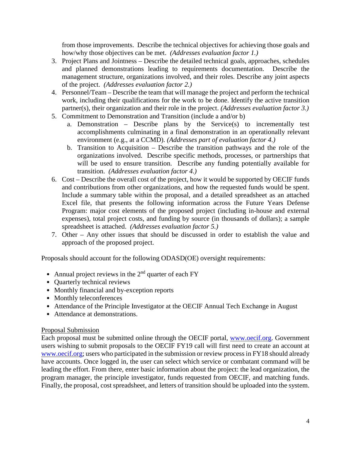from those improvements. Describe the technical objectives for achieving those goals and how/why those objectives can be met. *(Addresses evaluation factor 1.)* 

- 3. Project Plans and Jointness Describe the detailed technical goals, approaches, schedules and planned demonstrations leading to requirements documentation. Describe the management structure, organizations involved, and their roles. Describe any joint aspects of the project. *(Addresses evaluation factor 2.)*
- 4. Personnel/Team Describe the team that will manage the project and perform the technical work, including their qualifications for the work to be done. Identify the active transition partner(s), their organization and their role in the project. *(Addresses evaluation factor 3.)*
- 5. Commitment to Demonstration and Transition (include a and/or b)
	- a. Demonstration Describe plans by the Service(s) to incrementally test accomplishments culminating in a final demonstration in an operationally relevant environment (e.g., at a CCMD). *(Addresses part of evaluation factor 4.)*
	- b. Transition to Acquisition Describe the transition pathways and the role of the organizations involved. Describe specific methods, processes, or partnerships that will be used to ensure transition. Describe any funding potentially available for transition. *(Addresses evaluation factor 4.)*
- 6. Cost Describe the overall cost of the project, how it would be supported by OECIF funds and contributions from other organizations, and how the requested funds would be spent. Include a summary table within the proposal, and a detailed spreadsheet as an attached Excel file, that presents the following information across the Future Years Defense Program: major cost elements of the proposed project (including in-house and external expenses), total project costs, and funding by source (in thousands of dollars); a sample spreadsheet is attached. *(Addresses evaluation factor 5.)*
- 7. Other Any other issues that should be discussed in order to establish the value and approach of the proposed project.

Proposals should account for the following ODASD(OE) oversight requirements:

- Annual project reviews in the  $2<sup>nd</sup>$  quarter of each FY
- Quarterly technical reviews
- Monthly financial and by-exception reports
- Monthly teleconferences
- Attendance of the Principle Investigator at the OECIF Annual Tech Exchange in August
- Attendance at demonstrations.

#### Proposal Submission

Each proposal must be submitted online through the OECIF portal, [www.oecif.org.](http://www.oecif.org/) Government users wishing to submit proposals to the OECIF FY19 call will first need to create an account at [www.oecif.org;](http://www.oecif.org/) users who participated in the submission or review process in FY18 should already have accounts. Once logged in, the user can select which service or combatant command will be leading the effort. From there, enter basic information about the project: the lead organization, the program manager, the principle investigator, funds requested from OECIF, and matching funds. Finally, the proposal, cost spreadsheet, and letters of transition should be uploaded into the system.